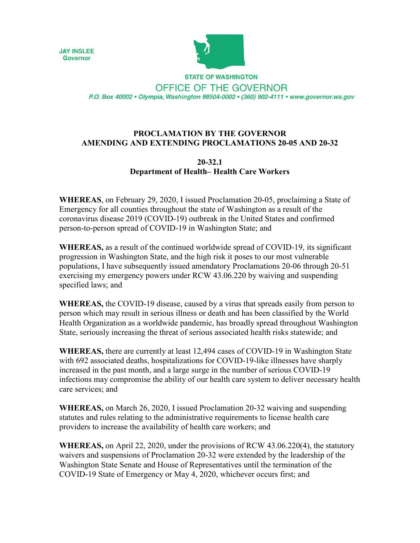



**STATE OF WASHINGTON** OFFICE OF THE GOVERNOR P.O. Box 40002 · Olympia, Washington 98504-0002 · (360) 902-4111 · www.governor.wa.gov

## **PROCLAMATION BY THE GOVERNOR AMENDING AND EXTENDING PROCLAMATIONS 20-05 AND 20-32**

## **20-32.1 Department of Health– Health Care Workers**

**WHEREAS**, on February 29, 2020, I issued Proclamation 20-05, proclaiming a State of Emergency for all counties throughout the state of Washington as a result of the coronavirus disease 2019 (COVID-19) outbreak in the United States and confirmed person-to-person spread of COVID-19 in Washington State; and

**WHEREAS,** as a result of the continued worldwide spread of COVID-19, its significant progression in Washington State, and the high risk it poses to our most vulnerable populations, I have subsequently issued amendatory Proclamations 20-06 through 20-51 exercising my emergency powers under RCW 43.06.220 by waiving and suspending specified laws; and

**WHEREAS,** the COVID-19 disease, caused by a virus that spreads easily from person to person which may result in serious illness or death and has been classified by the World Health Organization as a worldwide pandemic, has broadly spread throughout Washington State, seriously increasing the threat of serious associated health risks statewide; and

**WHEREAS,** there are currently at least 12,494 cases of COVID-19 in Washington State with 692 associated deaths, hospitalizations for COVID-19-like illnesses have sharply increased in the past month, and a large surge in the number of serious COVID-19 infections may compromise the ability of our health care system to deliver necessary health care services; and

**WHEREAS,** on March 26, 2020, I issued Proclamation 20-32 waiving and suspending statutes and rules relating to the administrative requirements to license health care providers to increase the availability of health care workers; and

**WHEREAS,** on April 22, 2020, under the provisions of RCW 43.06.220(4), the statutory waivers and suspensions of Proclamation 20-32 were extended by the leadership of the Washington State Senate and House of Representatives until the termination of the COVID-19 State of Emergency or May 4, 2020, whichever occurs first; and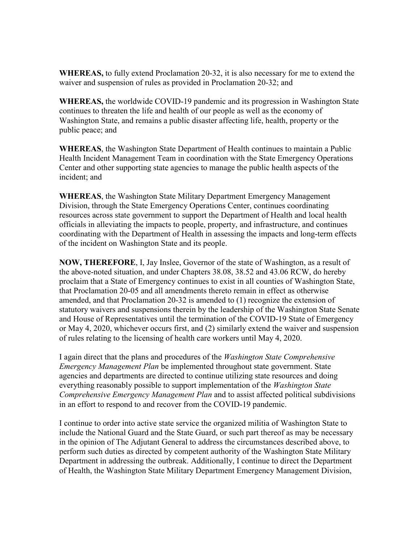**WHEREAS,** to fully extend Proclamation 20-32, it is also necessary for me to extend the waiver and suspension of rules as provided in Proclamation 20-32; and

**WHEREAS,** the worldwide COVID-19 pandemic and its progression in Washington State continues to threaten the life and health of our people as well as the economy of Washington State, and remains a public disaster affecting life, health, property or the public peace; and

**WHEREAS**, the Washington State Department of Health continues to maintain a Public Health Incident Management Team in coordination with the State Emergency Operations Center and other supporting state agencies to manage the public health aspects of the incident; and

**WHEREAS**, the Washington State Military Department Emergency Management Division, through the State Emergency Operations Center, continues coordinating resources across state government to support the Department of Health and local health officials in alleviating the impacts to people, property, and infrastructure, and continues coordinating with the Department of Health in assessing the impacts and long-term effects of the incident on Washington State and its people.

**NOW, THEREFORE**, I, Jay Inslee, Governor of the state of Washington, as a result of the above-noted situation, and under Chapters 38.08, 38.52 and 43.06 RCW, do hereby proclaim that a State of Emergency continues to exist in all counties of Washington State, that Proclamation 20-05 and all amendments thereto remain in effect as otherwise amended, and that Proclamation 20-32 is amended to (1) recognize the extension of statutory waivers and suspensions therein by the leadership of the Washington State Senate and House of Representatives until the termination of the COVID-19 State of Emergency or May 4, 2020, whichever occurs first, and (2) similarly extend the waiver and suspension of rules relating to the licensing of health care workers until May 4, 2020.

I again direct that the plans and procedures of the *Washington State Comprehensive Emergency Management Plan* be implemented throughout state government. State agencies and departments are directed to continue utilizing state resources and doing everything reasonably possible to support implementation of the *Washington State Comprehensive Emergency Management Plan* and to assist affected political subdivisions in an effort to respond to and recover from the COVID-19 pandemic.

I continue to order into active state service the organized militia of Washington State to include the National Guard and the State Guard, or such part thereof as may be necessary in the opinion of The Adjutant General to address the circumstances described above, to perform such duties as directed by competent authority of the Washington State Military Department in addressing the outbreak. Additionally, I continue to direct the Department of Health, the Washington State Military Department Emergency Management Division,